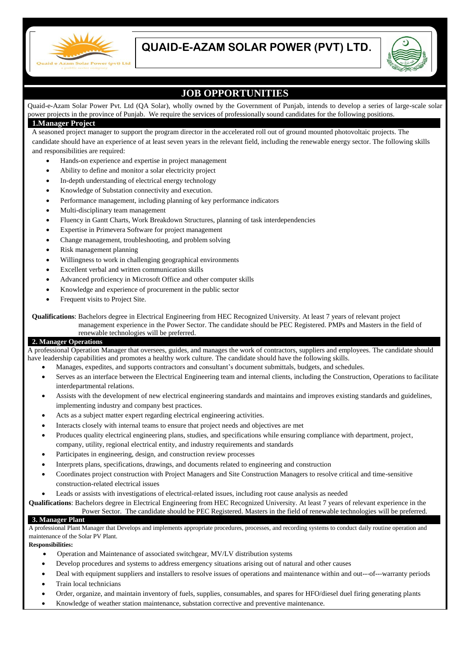

# **QUAID-E-AZAM SOLAR POWER (PVT) LTD.**



## **JOB OPPORTUNITIES**

Quaid-e-Azam Solar Power Pvt. Ltd (QA Solar), wholly owned by the Government of Punjab, intends to develop a series of large-scale solar power projects in the province of Punjab. We require the services of professionally sound candidates for the following positions.

#### **1.Manager Project**

A seasoned project manager to support the program director in the accelerated roll out of ground mounted photovoltaic projects. The candidate should have an experience of at least seven years in the relevant field, including the renewable energy sector. The following skills and responsibilities are required:

- Hands-on experience and expertise in project management
- Ability to define and monitor a solar electricity project
- In-depth understanding of electrical energy technology
- Knowledge of Substation connectivity and execution.
- Performance management, including planning of key performance indicators
- Multi-disciplinary team management
- Fluency in Gantt Charts, Work Breakdown Structures, planning of task interdependencies
- Expertise in Primevera Software for project management
- Change management, troubleshooting, and problem solving
- Risk management planning
- Willingness to work in challenging geographical environments
- Excellent verbal and written communication skills
- Advanced proficiency in Microsoft Office and other computer skills
- Knowledge and experience of procurement in the public sector
- Frequent visits to Project Site.

**Qualifications**: Bachelors degree in Electrical Engineering from HEC Recognized University. At least 7 years of relevant project

management experience in the Power Sector. The candidate should be PEC Registered. PMPs and Masters in the field of renewable technologies will be preferred.

#### **2. Manager Operations**

A professional Operation Manager that oversees, guides, and manages the work of contractors, suppliers and employees. The candidate should have leadership capabilities and promotes a healthy work culture. The candidate should have the following skills.

- Manages, expedites, and supports contractors and consultant's document submittals, budgets, and schedules.
- Serves as an interface between the Electrical Engineering team and internal clients, including the Construction, Operations to facilitate interdepartmental relations.
- Assists with the development of new electrical engineering standards and maintains and improves existing standards and guidelines, implementing industry and company best practices.
- Acts as a subject matter expert regarding electrical engineering activities.
- Interacts closely with internal teams to ensure that project needs and objectives are met
- Produces quality electrical engineering plans, studies, and specifications while ensuring compliance with department, project, company, utility, regional electrical entity, and industry requirements and standards
- Participates in engineering, design, and construction review processes
- Interprets plans, specifications, drawings, and documents related to engineering and construction
- Coordinates project construction with Project Managers and Site Construction Managers to resolve critical and time-sensitive construction-related electrical issues
- Leads or assists with investigations of electrical-related issues, including root cause analysis as needed

**Qualifications**: Bachelors degree in Electrical Engineering from HEC Recognized University. At least 7 years of relevant experience in the Power Sector. The candidate should be PEC Registered. Masters in the field of renewable technologies will be preferred.

#### **3. Manager Plant**

A professional Plant Manager that Develops and implements appropriate procedures, processes, and recording systems to conduct daily routine operation and maintenance of the Solar PV Plant.

#### **Responsibilities:**

- Operation and Maintenance of associated switchgear, MV/LV distribution systems
- Develop procedures and systems to address emergency situations arising out of natural and other causes
- Deal with equipment suppliers and installers to resolve issues of operations and maintenance within and out---of---warranty periods Train local technicians
- 
- Order, organize, and maintain inventory of fuels, supplies, consumables, and spares for HFO/diesel duel firing generating plants
- Knowledge of weather station maintenance, substation corrective and preventive maintenance.